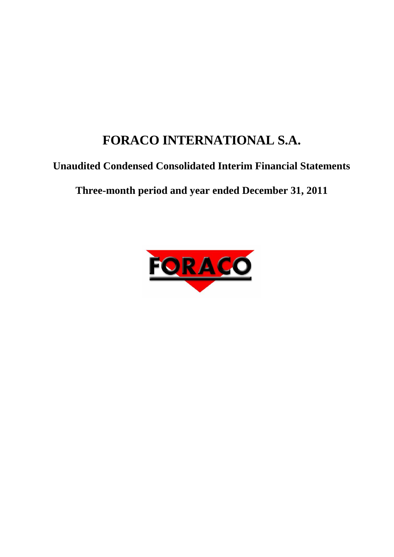# <span id="page-0-0"></span>**FORACO INTERNATIONAL S.A.**

# **Unaudited Condensed Consolidated Interim Financial Statements**

**Three-month period and year ended December 31, 2011**

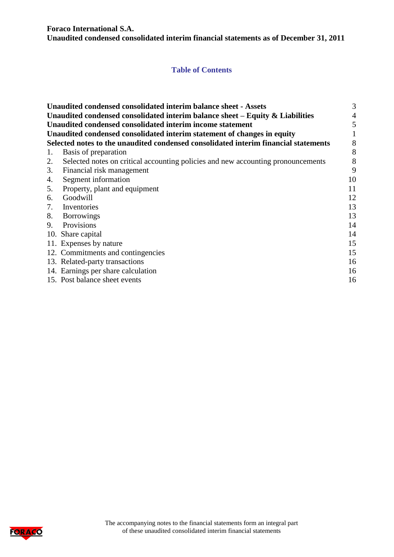**Foraco International S.A. Unaudited condensed consolidated interim financial statements as of December 31, 2011**

# **Table of Contents**

|    | Unaudited condensed consolidated interim balance sheet - Assets                     | 3  |
|----|-------------------------------------------------------------------------------------|----|
|    | Unaudited condensed consolidated interim balance sheet $-$ Equity $\&$ Liabilities  | 4  |
|    | Unaudited condensed consolidated interim income statement                           | 5  |
|    | Unaudited condensed consolidated interim statement of changes in equity             |    |
|    | Selected notes to the unaudited condensed consolidated interim financial statements | 8  |
| 1. | Basis of preparation                                                                | 8  |
| 2. | Selected notes on critical accounting policies and new accounting pronouncements    | 8  |
| 3. | Financial risk management                                                           | 9  |
| 4. | Segment information                                                                 | 10 |
| 5. | Property, plant and equipment                                                       | 11 |
| 6. | Goodwill                                                                            | 12 |
| 7. | Inventories                                                                         | 13 |
| 8. | <b>Borrowings</b>                                                                   | 13 |
| 9. | Provisions                                                                          | 14 |
|    | 10. Share capital                                                                   | 14 |
|    | 11. Expenses by nature                                                              | 15 |
|    | 12. Commitments and contingencies                                                   | 15 |
|    | 13. Related-party transactions                                                      | 16 |
|    | 14. Earnings per share calculation                                                  | 16 |
|    | 15. Post balance sheet events                                                       | 16 |

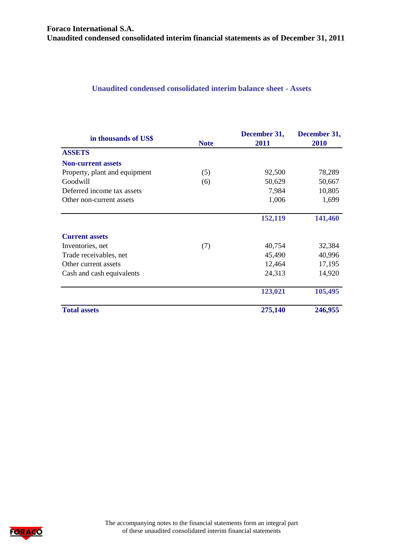#### <span id="page-2-0"></span>**Unaudited condensed consolidated interim balance sheet - Assets**

| in thousands of US\$          | <b>Note</b> | December 31,<br>2011 | December 31,<br>2010 |
|-------------------------------|-------------|----------------------|----------------------|
| <b>ASSETS</b>                 |             |                      |                      |
| <b>Non-current assets</b>     |             |                      |                      |
| Property, plant and equipment | (5)         | 92,500               | 78,289               |
| Goodwill                      | (6)         | 50,629               | 50,667               |
| Deferred income tax assets    |             | 7,984                | 10,805               |
| Other non-current assets      |             | 1,006                | 1,699                |
|                               |             | 152,119              | 141,460              |
| <b>Current assets</b>         |             |                      |                      |
| Inventories, net              | (7)         | 40,754               | 32,384               |
| Trade receivables, net        |             | 45,490               | 40,996               |
| Other current assets          |             | 12,464               | 17,195               |
| Cash and cash equivalents     |             | 24,313               | 14,920               |
|                               |             | 123,021              | 105,495              |
| <b>Total assets</b>           |             | 275,140              | 246,955              |

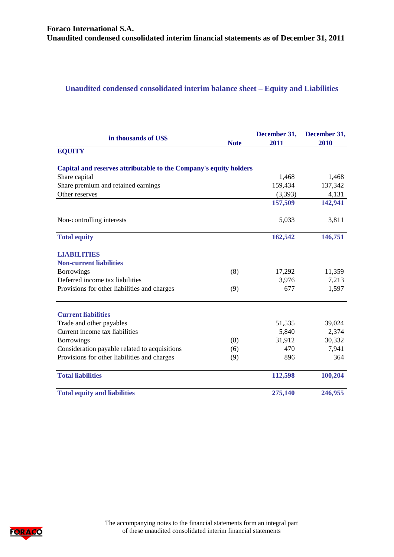# <span id="page-3-0"></span>**Unaudited condensed consolidated interim balance sheet – Equity and Liabilities**

| in thousands of US\$                                              | <b>Note</b> | December 31,<br>2011 | December 31,<br>2010 |
|-------------------------------------------------------------------|-------------|----------------------|----------------------|
| <b>EQUITY</b>                                                     |             |                      |                      |
| Capital and reserves attributable to the Company's equity holders |             |                      |                      |
| Share capital                                                     |             | 1,468                | 1,468                |
| Share premium and retained earnings                               |             | 159,434              | 137,342              |
| Other reserves                                                    |             | (3,393)              | 4,131                |
|                                                                   |             | 157,509              | 142,941              |
| Non-controlling interests                                         |             | 5,033                | 3,811                |
| <b>Total equity</b>                                               |             | 162,542              | 146,751              |
| <b>LIABILITIES</b>                                                |             |                      |                      |
| <b>Non-current liabilities</b>                                    |             |                      |                      |
| <b>Borrowings</b>                                                 | (8)         | 17,292               | 11,359               |
| Deferred income tax liabilities                                   |             | 3,976                | 7,213                |
| Provisions for other liabilities and charges                      | (9)         | 677                  | 1,597                |
| <b>Current liabilities</b>                                        |             |                      |                      |
| Trade and other payables                                          |             | 51,535               | 39,024               |
| Current income tax liabilities                                    |             | 5,840                | 2,374                |
| <b>Borrowings</b>                                                 | (8)         | 31,912               | 30,332               |
| Consideration payable related to acquisitions                     | (6)         | 470                  | 7,941                |
| Provisions for other liabilities and charges                      | (9)         | 896                  | 364                  |
| <b>Total liabilities</b>                                          |             | 112,598              | 100,204              |
| <b>Total equity and liabilities</b>                               |             | 275,140              | 246,955              |

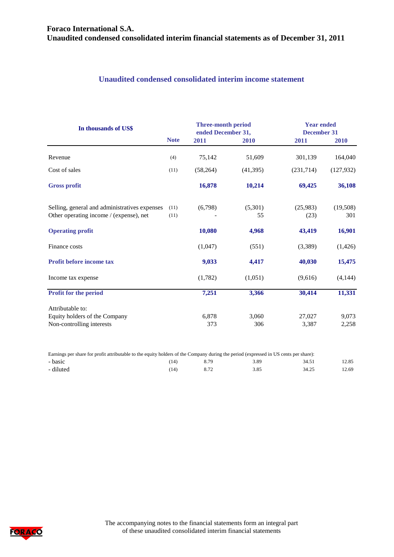# <span id="page-4-0"></span>**Unaudited condensed consolidated interim income statement**

| In thousands of US\$                                                                     |              | Three-month period<br>ended December 31, |               | <b>Year ended</b><br><b>December 31</b> |                 |
|------------------------------------------------------------------------------------------|--------------|------------------------------------------|---------------|-----------------------------------------|-----------------|
|                                                                                          | <b>Note</b>  | 2011                                     | 2010          | 2011                                    | 2010            |
| Revenue                                                                                  | (4)          | 75,142                                   | 51,609        | 301,139                                 | 164,040         |
| Cost of sales                                                                            | (11)         | (58, 264)                                | (41, 395)     | (231, 714)                              | (127, 932)      |
| <b>Gross profit</b>                                                                      |              | 16,878                                   | 10,214        | 69,425                                  | 36,108          |
| Selling, general and administratives expenses<br>Other operating income / (expense), net | (11)<br>(11) | (6,798)                                  | (5,301)<br>55 | (25,983)<br>(23)                        | (19,508)<br>301 |
| <b>Operating profit</b>                                                                  |              | 10,080                                   | 4,968         | 43,419                                  | 16,901          |
| Finance costs                                                                            |              | (1,047)                                  | (551)         | (3,389)                                 | (1, 426)        |
| Profit before income tax                                                                 |              | 9,033                                    | 4,417         | 40,030                                  | 15,475          |
| Income tax expense                                                                       |              | (1,782)                                  | (1,051)       | (9,616)                                 | (4,144)         |
| <b>Profit for the period</b>                                                             |              | 7,251                                    | 3,366         | 30,414                                  | 11,331          |
| Attributable to:                                                                         |              |                                          |               |                                         |                 |
| Equity holders of the Company<br>Non-controlling interests                               |              | 6,878<br>373                             | 3,060<br>306  | 27,027<br>3,387                         | 9,073<br>2,258  |
|                                                                                          |              |                                          |               |                                         |                 |

| Earnings per share for profit attributable to the equity holders of the Company during the period (expressed in US cents per share): |      |      |      |       |       |
|--------------------------------------------------------------------------------------------------------------------------------------|------|------|------|-------|-------|
| - basic                                                                                                                              | [14] | 8.79 | 3.89 | 34.51 | 12.85 |
| - diluted                                                                                                                            |      |      | 3.85 | 34.25 | 12.69 |

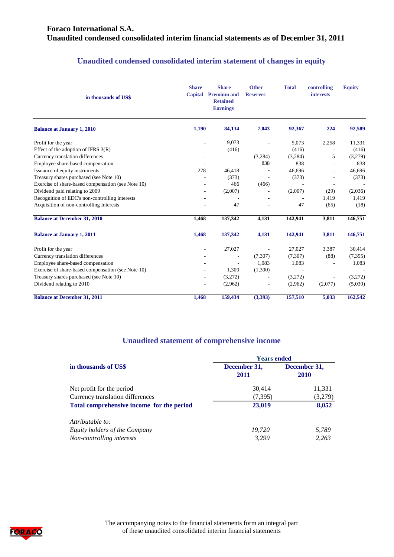# **Foraco International S.A. Unaudited condensed consolidated interim financial statements as of December 31, 2011**

# **Unaudited condensed consolidated interim statement of changes in equity**

| in thousands of US\$                               | <b>Share</b><br>Capital | <b>Share</b><br><b>Premium and</b><br><b>Retained</b><br><b>Earnings</b> | <b>Other</b><br><b>Reserves</b> | <b>Total</b>             | controlling<br><b>interests</b> | <b>Equity</b> |
|----------------------------------------------------|-------------------------|--------------------------------------------------------------------------|---------------------------------|--------------------------|---------------------------------|---------------|
| <b>Balance at January 1, 2010</b>                  | 1,190                   | 84,134                                                                   | 7,043                           | 92,367                   | 224                             | 92,589        |
| Profit for the year                                | ÷,                      | 9,073                                                                    |                                 | 9,073                    | 2,258                           | 11,331        |
| Effect of the adoption of IFRS $3(R)$              |                         | (416)                                                                    |                                 | (416)                    |                                 | (416)         |
| Currency translation differences                   | ٠                       | $\overline{\phantom{a}}$                                                 | (3,284)                         | (3,284)                  | 5                               | (3,279)       |
| Employee share-based compensation                  |                         | $\overline{\phantom{a}}$                                                 | 838                             | 838                      | ÷                               | 838           |
| Issuance of equity instruments                     | 278                     | 46,418                                                                   |                                 | 46,696                   |                                 | 46,696        |
| Treasury shares purchased (see Note 10)            |                         | (373)                                                                    |                                 | (373)                    |                                 | (373)         |
| Exercise of share-based compensation (see Note 10) |                         | 466                                                                      | (466)                           |                          | $\overline{a}$                  |               |
| Dividend paid relating to 2009                     |                         | (2,007)                                                                  |                                 | (2,007)                  | (29)                            | (2,036)       |
| Recognition of EDC's non-controlling interests     |                         |                                                                          |                                 | $\overline{\phantom{a}}$ | 1,419                           | 1,419         |
| Acquisition of non-controlling Interests           |                         | 47                                                                       |                                 | 47                       | (65)                            | (18)          |
| <b>Balance at December 31, 2010</b>                | 1,468                   | 137,342                                                                  | 4,131                           | 142,941                  | 3,811                           | 146,751       |
| <b>Balance at January 1, 2011</b>                  | 1,468                   | 137,342                                                                  | 4,131                           | 142,941                  | 3,811                           | 146,751       |
| Profit for the year                                | ÷,                      | 27,027                                                                   | ÷,                              | 27,027                   | 3,387                           | 30,414        |
| Currency translation differences                   |                         |                                                                          | (7,307)                         | (7,307)                  | (88)                            | (7, 395)      |
| Employee share-based compensation                  |                         |                                                                          | 1,083                           | 1,083                    |                                 | 1,083         |
| Exercise of share-based compensation (see Note 10) |                         | 1,300                                                                    | (1,300)                         |                          |                                 |               |
| Treasury shares purchased (see Note 10)            |                         | (3,272)                                                                  |                                 | (3,272)                  |                                 | (3,272)       |
| Dividend relating to 2010                          |                         | (2,962)                                                                  |                                 | (2,962)                  | (2,077)                         | (5,039)       |
| <b>Balance at December 31, 2011</b>                | 1,468                   | 159,434                                                                  | (3,393)                         | 157,510                  | 5,033                           | 162,542       |

#### **Unaudited statement of comprehensive income**

|                                           | <b>Years ended</b>   |                             |  |  |
|-------------------------------------------|----------------------|-----------------------------|--|--|
| in thousands of US\$                      | December 31,<br>2011 | December 31,<br><b>2010</b> |  |  |
| Net profit for the period                 | 30,414               | 11,331                      |  |  |
| Currency translation differences          | (7, 395)             | (3,279)                     |  |  |
| Total comprehensive income for the period | 23,019               | 8,052                       |  |  |
| Attributable to:                          |                      |                             |  |  |
| Equity holders of the Company             | 19,720               | 5,789                       |  |  |
| Non-controlling interests                 | 3.299                | 2.263                       |  |  |

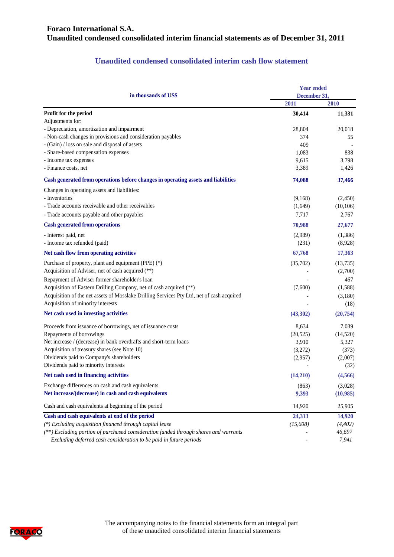# **Foraco International S.A. Unaudited condensed consolidated interim financial statements as of December 31, 2011**

## **Unaudited condensed consolidated interim cash flow statement**

| in thousands of US\$                                                                      | <b>Year ended</b><br>December 31, |           |  |
|-------------------------------------------------------------------------------------------|-----------------------------------|-----------|--|
|                                                                                           | 2011                              | 2010      |  |
| Profit for the period                                                                     | 30,414                            | 11,331    |  |
| Adjustments for:                                                                          |                                   |           |  |
| - Depreciation, amortization and impairment                                               | 28,804                            | 20,018    |  |
| - Non-cash changes in provisions and consideration payables                               | 374                               | 55        |  |
| - (Gain) / loss on sale and disposal of assets                                            | 409                               |           |  |
| - Share-based compensation expenses                                                       | 1,083                             | 838       |  |
| - Income tax expenses                                                                     | 9,615                             | 3,798     |  |
| - Finance costs, net                                                                      | 3,389                             | 1,426     |  |
| Cash generated from operations before changes in operating assets and liabilities         | 74,088                            | 37,466    |  |
| Changes in operating assets and liabilities:                                              |                                   |           |  |
| - Inventories                                                                             | (9,168)                           | (2,450)   |  |
| - Trade accounts receivable and other receivables                                         | (1,649)                           | (10, 106) |  |
| - Trade accounts payable and other payables                                               | 7,717                             | 2,767     |  |
| <b>Cash generated from operations</b>                                                     | 70,988                            | 27,677    |  |
| - Interest paid, net                                                                      | (2,989)                           | (1,386)   |  |
| - Income tax refunded (paid)                                                              | (231)                             | (8,928)   |  |
| Net cash flow from operating activities                                                   | 67,768                            | 17,363    |  |
| Purchase of property, plant and equipment (PPE) (*)                                       | (35,702)                          | (13,735)  |  |
| Acquisition of Adviser, net of cash acquired (**)                                         |                                   | (2,700)   |  |
| Repayment of Adviser former shareholder's loan                                            |                                   | 467       |  |
| Acquisition of Eastern Drilling Company, net of cash acquired (**)                        | (7,600)                           | (1,588)   |  |
| Acquisition of the net assets of Mosslake Drilling Services Pty Ltd, net of cash acquired |                                   | (3,180)   |  |
| Acquisition of minority interests                                                         |                                   | (18)      |  |
| Net cash used in investing activities                                                     | (43,302)                          | (20, 754) |  |
| Proceeds from issuance of borrowings, net of issuance costs                               | 8,634                             | 7,039     |  |
| Repayments of borrowings                                                                  | (20, 525)                         | (14,520)  |  |
| Net increase / (decrease) in bank overdrafts and short-term loans                         | 3,910                             | 5,327     |  |
| Acquisition of treasury shares (see Note 10)                                              | (3,272)                           | (373)     |  |
| Dividends paid to Company's shareholders                                                  | (2,957)                           | (2,007)   |  |
| Dividends paid to minority interests                                                      |                                   | (32)      |  |
| Net cash used in financing activities                                                     | (14,210)                          | (4,566)   |  |
| Exchange differences on cash and cash equivalents                                         | (863)                             | (3,028)   |  |
| Net increase/(decrease) in cash and cash equivalents                                      | 9,393                             | (10,985)  |  |
| Cash and cash equivalents at beginning of the period                                      | 14,920                            | 25,905    |  |
| Cash and cash equivalents at end of the period                                            | 24,313                            | 14,920    |  |
| (*) Excluding acquisition financed through capital lease                                  | (15,608)                          | (4, 402)  |  |
| (**) Excluding portion of purchased consideration funded through shares and warrants      |                                   | 46,697    |  |
| Excluding deferred cash consideration to be paid in future periods                        |                                   | 7,941     |  |

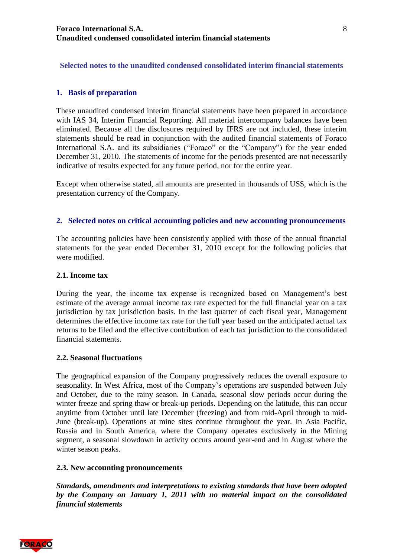# <span id="page-7-0"></span>**Selected notes to the unaudited condensed consolidated interim financial statements**

#### <span id="page-7-1"></span>**1. Basis of preparation**

These unaudited condensed interim financial statements have been prepared in accordance with IAS 34, Interim Financial Reporting. All material intercompany balances have been eliminated. Because all the disclosures required by IFRS are not included, these interim statements should be read in conjunction with the audited financial statements of Foraco International S.A. and its subsidiaries ("Foraco" or the "Company") for the year ended December 31, 2010. The statements of income for the periods presented are not necessarily indicative of results expected for any future period, nor for the entire year.

Except when otherwise stated, all amounts are presented in thousands of US\$, which is the presentation currency of the Company.

### <span id="page-7-2"></span>**2. Selected notes on critical accounting policies and new accounting pronouncements**

The accounting policies have been consistently applied with those of the annual financial statements for the year ended December 31, 2010 except for the following policies that were modified.

#### **2.1. Income tax**

During the year, the income tax expense is recognized based on Management's best estimate of the average annual income tax rate expected for the full financial year on a tax jurisdiction by tax jurisdiction basis. In the last quarter of each fiscal year, Management determines the effective income tax rate for the full year based on the anticipated actual tax returns to be filed and the effective contribution of each tax jurisdiction to the consolidated financial statements.

#### **2.2. Seasonal fluctuations**

The geographical expansion of the Company progressively reduces the overall exposure to seasonality. In West Africa, most of the Company's operations are suspended between July and October, due to the rainy season. In Canada, seasonal slow periods occur during the winter freeze and spring thaw or break-up periods. Depending on the latitude, this can occur anytime from October until late December (freezing) and from mid-April through to mid-June (break-up). Operations at mine sites continue throughout the year. In Asia Pacific, Russia and in South America, where the Company operates exclusively in the Mining segment, a seasonal slowdown in activity occurs around year-end and in August where the winter season peaks.

#### **2.3. New accounting pronouncements**

*Standards, amendments and interpretations to existing standards that have been adopted by the Company on January 1, 2011 with no material impact on the consolidated financial statements*

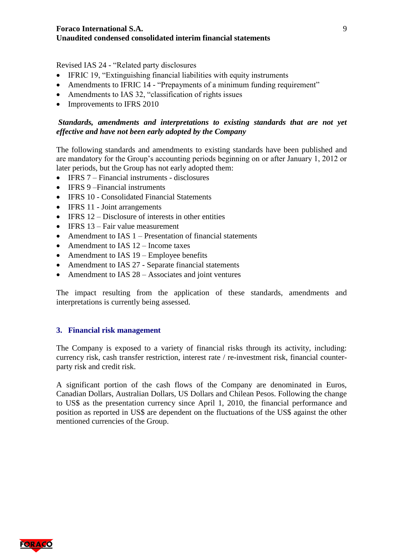Revised IAS 24 - "Related party disclosures

- IFRIC 19, "Extinguishing financial liabilities with equity instruments
- Amendments to IFRIC 14 "Prepayments of a minimum funding requirement"
- Amendments to IAS 32, "classification of rights issues
- Improvements to IFRS 2010

# *Standards, amendments and interpretations to existing standards that are not yet effective and have not been early adopted by the Company*

The following standards and amendments to existing standards have been published and are mandatory for the Group's accounting periods beginning on or after January 1, 2012 or later periods, but the Group has not early adopted them:

- IFRS 7 Financial instruments disclosures
- IFRS 9-Financial instruments
- IFRS 10 Consolidated Financial Statements
- IFRS 11 Joint arrangements
- $\bullet$  IFRS 12 Disclosure of interests in other entities
- $\bullet$  IFRS 13 Fair value measurement
- Amendment to IAS 1 Presentation of financial statements
- Amendment to IAS 12 Income taxes
- Amendment to IAS 19 Employee benefits
- Amendment to IAS 27 Separate financial statements
- Amendment to IAS  $28 -$ Associates and joint ventures

The impact resulting from the application of these standards, amendments and interpretations is currently being assessed.

#### <span id="page-8-0"></span>**3. Financial risk management**

The Company is exposed to a variety of financial risks through its activity, including: currency risk, cash transfer restriction, interest rate / re-investment risk, financial counterparty risk and credit risk.

A significant portion of the cash flows of the Company are denominated in Euros, Canadian Dollars, Australian Dollars, US Dollars and Chilean Pesos. Following the change to US\$ as the presentation currency since April 1, 2010, the financial performance and position as reported in US\$ are dependent on the fluctuations of the US\$ against the other mentioned currencies of the Group.

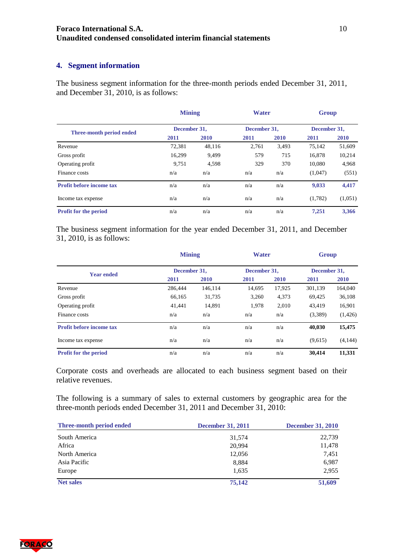### **Foraco International S.A. Unaudited condensed consolidated interim financial statements**

# <span id="page-9-0"></span>**4. Segment information**

The business segment information for the three-month periods ended December 31, 2011, and December 31, 2010, is as follows:

|                                 | <b>Mining</b> |             | <b>Water</b> |       | <b>Group</b> |             |
|---------------------------------|---------------|-------------|--------------|-------|--------------|-------------|
| Three-month period ended        | December 31,  |             | December 31, |       | December 31, |             |
|                                 | 2011          | <b>2010</b> | 2011         | 2010  | 2011         | <b>2010</b> |
| Revenue                         | 72,381        | 48,116      | 2,761        | 3,493 | 75,142       | 51,609      |
| Gross profit                    | 16,299        | 9,499       | 579          | 715   | 16,878       | 10,214      |
| Operating profit                | 9,751         | 4,598       | 329          | 370   | 10,080       | 4,968       |
| Finance costs                   | n/a           | n/a         | n/a          | n/a   | (1,047)      | (551)       |
| <b>Profit before income tax</b> | n/a           | n/a         | n/a          | n/a   | 9,033        | 4,417       |
| Income tax expense              | n/a           | n/a         | n/a          | n/a   | (1,782)      | (1,051)     |
| Profit for the period           | n/a           | n/a         | n/a          | n/a   | 7.251        | 3.366       |

The business segment information for the year ended December 31, 2011, and December 31, 2010, is as follows:

|                                 | <b>Mining</b> |              | <b>Water</b> |              | <b>Group</b> |              |  |
|---------------------------------|---------------|--------------|--------------|--------------|--------------|--------------|--|
| <b>Year ended</b>               |               | December 31, |              | December 31. |              | December 31, |  |
|                                 | 2011          | <b>2010</b>  | 2011         | 2010         | 2011         | <b>2010</b>  |  |
| Revenue                         | 286,444       | 146,114      | 14,695       | 17,925       | 301,139      | 164,040      |  |
| Gross profit                    | 66,165        | 31,735       | 3,260        | 4,373        | 69,425       | 36,108       |  |
| Operating profit                | 41.441        | 14.891       | 1.978        | 2.010        | 43.419       | 16,901       |  |
| Finance costs                   | n/a           | n/a          | n/a          | n/a          | (3,389)      | (1,426)      |  |
| <b>Profit before income tax</b> | n/a           | n/a          | n/a          | n/a          | 40,030       | 15,475       |  |
| Income tax expense              | n/a           | n/a          | n/a          | n/a          | (9,615)      | (4,144)      |  |
| Profit for the period           | n/a           | n/a          | n/a          | n/a          | 30.414       | 11,331       |  |

Corporate costs and overheads are allocated to each business segment based on their relative revenues.

The following is a summary of sales to external customers by geographic area for the three-month periods ended December 31, 2011 and December 31, 2010:

| <b>Three-month period ended</b> | <b>December 31, 2011</b> | <b>December 31, 2010</b> |
|---------------------------------|--------------------------|--------------------------|
| South America                   | 31,574                   | 22,739                   |
| Africa                          | 20.994                   | 11,478                   |
| North America                   | 12,056                   | 7,451                    |
| Asia Pacific                    | 8,884                    | 6,987                    |
| Europe                          | 1,635                    | 2,955                    |
| <b>Net sales</b>                | 75,142                   | 51,609                   |

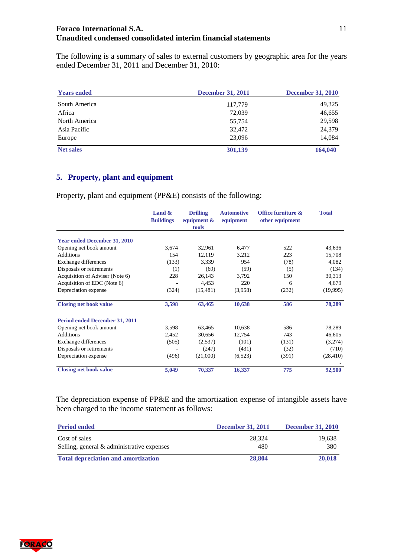#### **Foraco International S.A. Unaudited condensed consolidated interim financial statements**

The following is a summary of sales to external customers by geographic area for the years ended December 31, 2011 and December 31, 2010:

| <b>Years ended</b> | <b>December 31, 2011</b> | <b>December 31, 2010</b> |
|--------------------|--------------------------|--------------------------|
| South America      | 117,779                  | 49,325                   |
| Africa             | 72,039                   | 46,655                   |
| North America      | 55,754                   | 29,598                   |
| Asia Pacific       | 32,472                   | 24,379                   |
| Europe             | 23,096                   | 14,084                   |
| <b>Net sales</b>   | 301,139                  | 164,040                  |

# <span id="page-10-0"></span>**5. Property, plant and equipment**

Property, plant and equipment (PP&E) consists of the following:

|                                     | Land $\&$<br><b>Buildings</b> | <b>Drilling</b><br>equipment $\&$<br>tools | <b>Automotive</b><br>equipment | Office furniture &<br>other equipment | <b>Total</b> |
|-------------------------------------|-------------------------------|--------------------------------------------|--------------------------------|---------------------------------------|--------------|
| <b>Year ended December 31, 2010</b> |                               |                                            |                                |                                       |              |
| Opening net book amount             | 3,674                         | 32,961                                     | 6,477                          | 522                                   | 43,636       |
| Additions                           | 154                           | 12,119                                     | 3,212                          | 223                                   | 15,708       |
| Exchange differences                | (133)                         | 3,339                                      | 954                            | (78)                                  | 4,082        |
| Disposals or retirements            | (1)                           | (69)                                       | (59)                           | (5)                                   | (134)        |
| Acquisition of Adviser (Note 6)     | 228                           | 26,143                                     | 3,792                          | 150                                   | 30,313       |
| Acquisition of EDC (Note 6)         |                               | 4,453                                      | 220                            | 6                                     | 4,679        |
| Depreciation expense                | (324)                         | (15, 481)                                  | (3,958)                        | (232)                                 | (19,995)     |
| <b>Closing net book value</b>       | 3,598                         | 63,465                                     | 10,638                         | 586                                   | 78,289       |
| Period ended December 31, 2011      |                               |                                            |                                |                                       |              |
| Opening net book amount             | 3,598                         | 63,465                                     | 10,638                         | 586                                   | 78,289       |
| Additions                           | 2,452                         | 30,656                                     | 12,754                         | 743                                   | 46,605       |
| Exchange differences                | (505)                         | (2,537)                                    | (101)                          | (131)                                 | (3,274)      |
| Disposals or retirements            |                               | (247)                                      | (431)                          | (32)                                  | (710)        |
| Depreciation expense                | (496)                         | (21,000)                                   | (6,523)                        | (391)                                 | (28, 410)    |
| <b>Closing net book value</b>       | 5,049                         | 70,337                                     | 16,337                         | 775                                   | 92,500       |

The depreciation expense of PP&E and the amortization expense of intangible assets have been charged to the income statement as follows:

| <b>Period ended</b>                                            | <b>December 31, 2011</b> | <b>December 31, 2010</b> |
|----------------------------------------------------------------|--------------------------|--------------------------|
| Cost of sales<br>Selling, general $\&$ administrative expenses | 28.324<br>480            | 19.638<br>380            |
| <b>Total depreciation and amortization</b>                     | 28,804                   | 20,018                   |

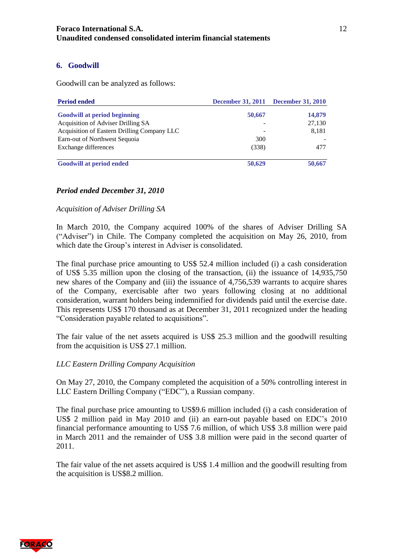# <span id="page-11-0"></span>**6. Goodwill**

Goodwill can be analyzed as follows:

| <b>Period ended</b>                         |        | December 31, 2011 December 31, 2010 |
|---------------------------------------------|--------|-------------------------------------|
| <b>Goodwill at period beginning</b>         | 50,667 | 14,879                              |
| Acquisition of Adviser Drilling SA          |        | 27,130                              |
| Acquisition of Eastern Drilling Company LLC |        | 8,181                               |
| Earn-out of Northwest Sequoia               | 300    |                                     |
| Exchange differences                        | (338)  | 477                                 |
| <b>Goodwill at period ended</b>             | 50,629 | 50,667                              |

# *Period ended December 31, 2010*

*Acquisition of Adviser Drilling SA*

In March 2010, the Company acquired 100% of the shares of Adviser Drilling SA ("Adviser") in Chile. The Company completed the acquisition on May 26, 2010, from which date the Group's interest in Adviser is consolidated.

The final purchase price amounting to US\$ 52.4 million included (i) a cash consideration of US\$ 5.35 million upon the closing of the transaction, (ii) the issuance of 14,935,750 new shares of the Company and (iii) the issuance of 4,756,539 warrants to acquire shares of the Company, exercisable after two years following closing at no additional consideration, warrant holders being indemnified for dividends paid until the exercise date. This represents US\$ 170 thousand as at December 31, 2011 recognized under the heading "Consideration payable related to acquisitions".

The fair value of the net assets acquired is US\$ 25.3 million and the goodwill resulting from the acquisition is US\$ 27.1 million.

#### *LLC Eastern Drilling Company Acquisition*

On May 27, 2010, the Company completed the acquisition of a 50% controlling interest in LLC Eastern Drilling Company ("EDC"), a Russian company.

The final purchase price amounting to US\$9.6 million included (i) a cash consideration of US\$ 2 million paid in May 2010 and (ii) an earn-out payable based on EDC's 2010 financial performance amounting to US\$ 7.6 million, of which US\$ 3.8 million were paid in March 2011 and the remainder of US\$ 3.8 million were paid in the second quarter of 2011.

The fair value of the net assets acquired is US\$ 1.4 million and the goodwill resulting from the acquisition is US\$8.2 million.

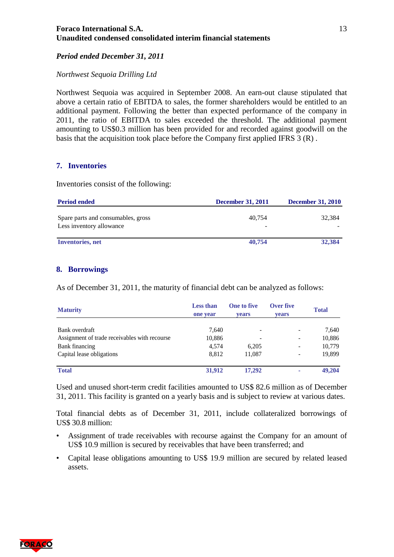#### **Foraco International S.A. Unaudited condensed consolidated interim financial statements**

#### *Period ended December 31, 2011*

#### *Northwest Sequoia Drilling Ltd*

Northwest Sequoia was acquired in September 2008. An earn-out clause stipulated that above a certain ratio of EBITDA to sales, the former shareholders would be entitled to an additional payment. Following the better than expected performance of the company in 2011, the ratio of EBITDA to sales exceeded the threshold. The additional payment amounting to US\$0.3 million has been provided for and recorded against goodwill on the basis that the acquisition took place before the Company first applied IFRS 3 (R) .

#### <span id="page-12-0"></span>**7. Inventories**

Inventories consist of the following:

| <b>Period ended</b>                                            | <b>December 31, 2011</b> | <b>December 31, 2010</b> |
|----------------------------------------------------------------|--------------------------|--------------------------|
| Spare parts and consumables, gross<br>Less inventory allowance | 40.754<br>-              | 32.384                   |
| <b>Inventories</b> , net                                       | 40,754                   | 32,384                   |

#### <span id="page-12-1"></span>**8. Borrowings**

As of December 31, 2011, the maturity of financial debt can be analyzed as follows:

| <b>Maturity</b>                               | <b>Less than</b><br>one year | <b>One to five</b><br><b>vears</b> | Over five<br>vears       | <b>Total</b> |
|-----------------------------------------------|------------------------------|------------------------------------|--------------------------|--------------|
| Bank overdraft                                | 7,640                        | $\overline{\phantom{a}}$           | $\overline{\phantom{a}}$ | 7,640        |
| Assignment of trade receivables with recourse | 10,886                       |                                    |                          | 10,886       |
| Bank financing                                | 4.574                        | 6,205                              |                          | 10,779       |
| Capital lease obligations                     | 8,812                        | 11.087                             |                          | 19,899       |
| <b>Total</b>                                  | 31,912                       | 17,292                             | ۰                        | 49,204       |

Used and unused short-term credit facilities amounted to US\$ 82.6 million as of December 31, 2011. This facility is granted on a yearly basis and is subject to review at various dates.

Total financial debts as of December 31, 2011, include collateralized borrowings of US\$ 30.8 million:

- Assignment of trade receivables with recourse against the Company for an amount of US\$ 10.9 million is secured by receivables that have been transferred; and
- Capital lease obligations amounting to US\$ 19.9 million are secured by related leased assets.

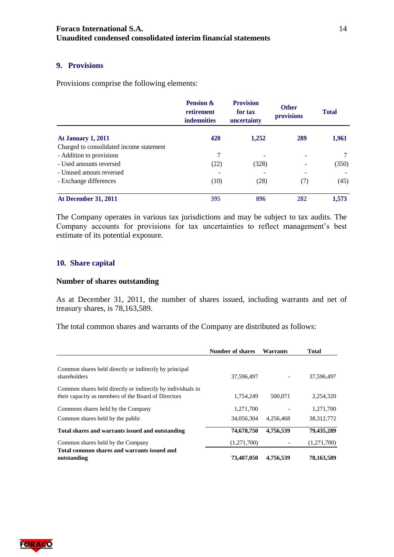#### <span id="page-13-0"></span>**9. Provisions**

Provisions comprise the following elements:

|                                          | <b>Pension &amp;</b><br>retirement<br><b>indemnities</b> | <b>Provision</b><br>for tax<br>uncertainty | <b>Other</b><br>provisions | <b>Total</b> |
|------------------------------------------|----------------------------------------------------------|--------------------------------------------|----------------------------|--------------|
| <b>At January 1, 2011</b>                | 420                                                      | 1,252                                      | 289                        | 1,961        |
| Charged to consolidated income statement |                                                          |                                            |                            |              |
| - Addition to provisions                 | 7                                                        |                                            |                            |              |
| - Used amounts reversed                  | (22)                                                     | (328)                                      |                            | (350)        |
| - Unused amouts reversed                 |                                                          |                                            |                            |              |
| - Exchange differences                   | (10)                                                     | (28)                                       | (7)                        | (45)         |
| <b>At December 31, 2011</b>              | 395                                                      | 896                                        | 282                        | 1,573        |

The Company operates in various tax jurisdictions and may be subject to tax audits. The Company accounts for provisions for tax uncertainties to reflect management's best estimate of its potential exposure.

#### <span id="page-13-1"></span>**10. Share capital**

#### **Number of shares outstanding**

As at December 31, 2011, the number of shares issued, including warrants and net of treasury shares, is 78,163,589.

The total common shares and warrants of the Company are distributed as follows:

|                                                                                                                    | <b>Number of shares</b> | <b>Warrants</b> | <b>Total</b> |
|--------------------------------------------------------------------------------------------------------------------|-------------------------|-----------------|--------------|
| Common shares held directly or indirectly by principal<br>shareholders                                             | 37,596,497              |                 | 37,596,497   |
| Common shares held directly or indirectly by individuals in<br>their capacity as members of the Board of Directors | 1.754.249               | 500,071         | 2,254,320    |
| Commons shares held by the Company                                                                                 | 1,271,700               |                 | 1,271,700    |
| Common shares held by the public                                                                                   | 34,056,304              | 4.256.468       | 38, 312, 772 |
| Total shares and warrants issued and outstanding                                                                   | 74,678,750              | 4,756,539       | 79,435,289   |
| Common shares held by the Company                                                                                  | (1,271,700)             |                 | (1,271,700)  |
| Total common shares and warrants issued and<br>outstanding                                                         | 73,407,050              | 4,756,539       | 78,163,589   |

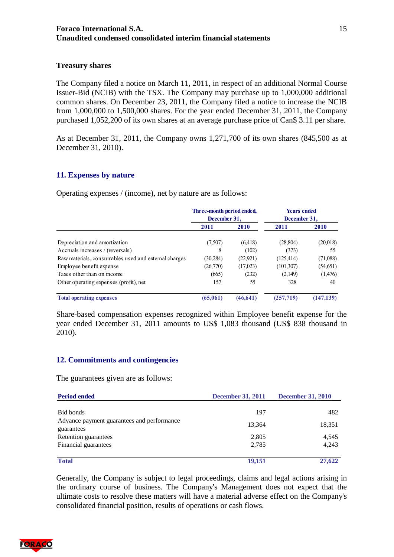#### **Treasury shares**

The Company filed a notice on March 11, 2011, in respect of an additional Normal Course Issuer-Bid (NCIB) with the TSX. The Company may purchase up to 1,000,000 additional common shares. On December 23, 2011, the Company filed a notice to increase the NCIB from 1,000,000 to 1,500,000 shares. For the year ended December 31, 2011, the Company purchased 1,052,200 of its own shares at an average purchase price of Can\$ 3.11 per share.

As at December 31, 2011, the Company owns 1,271,700 of its own shares (845,500 as at December 31, 2010).

#### <span id="page-14-0"></span>**11. Expenses by nature**

Operating expenses / (income), net by nature are as follows:

|                                                      | Three-month period ended,<br>December 31. |           | <b>Years ended</b><br>December 31, |            |
|------------------------------------------------------|-------------------------------------------|-----------|------------------------------------|------------|
|                                                      | 2011                                      | 2010      | 2011                               | 2010       |
| Depreciation and amortization                        | (7,507)                                   | (6,418)   | (28, 804)                          | (20,018)   |
| Accruals increases / (reversals)                     | 8                                         | (102)     | (373)                              | 55         |
| Raw materials, consumables used and external charges | (30, 284)                                 | (22, 921) | (125, 414)                         | (71,088)   |
| Employee benefit expense                             | (26,770)                                  | (17,023)  | (101, 307)                         | (54, 651)  |
| Taxes other than on income                           | (665)                                     | (232)     | (2,149)                            | (1,476)    |
| Other operating expenses (profit), net               | 157                                       | 55        | 328                                | 40         |
| <b>Total operating expenses</b>                      | (65,061)                                  | (46, 641) | (257, 719)                         | (147, 139) |

Share-based compensation expenses recognized within Employee benefit expense for the year ended December 31, 2011 amounts to US\$ 1,083 thousand (US\$ 838 thousand in 2010).

#### <span id="page-14-1"></span>**12. Commitments and contingencies**

The guarantees given are as follows:

| <b>Period ended</b>                                      | <b>December 31, 2011</b> | <b>December 31, 2010</b> |  |
|----------------------------------------------------------|--------------------------|--------------------------|--|
|                                                          |                          |                          |  |
| Bid bonds                                                | 197                      | 482                      |  |
| Advance payment guarantees and performance<br>guarantees | 13,364                   | 18,351                   |  |
| Retention guarantees                                     | 2,805                    | 4,545                    |  |
| Financial guarantees                                     | 2,785                    | 4,243                    |  |
| <b>Total</b>                                             | 19,151                   | 27,622                   |  |

Generally, the Company is subject to legal proceedings, claims and legal actions arising in the ordinary course of business. The Company's Management does not expect that the ultimate costs to resolve these matters will have a material adverse effect on the Company's consolidated financial position, results of operations or cash flows.